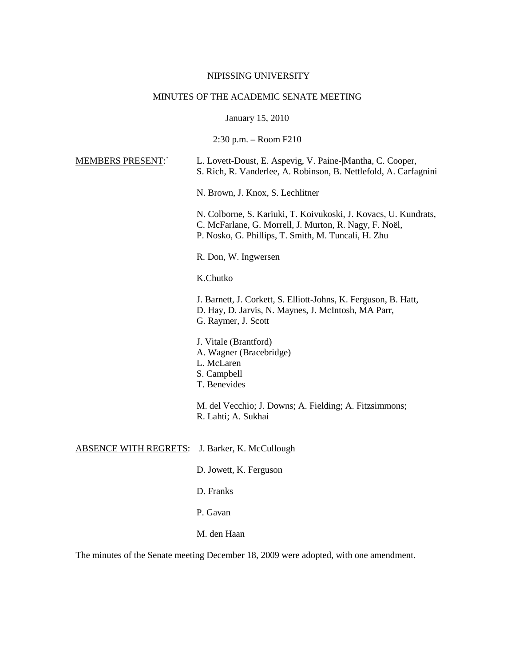#### NIPISSING UNIVERSITY

# MINUTES OF THE ACADEMIC SENATE MEETING

January 15, 2010

2:30 p.m. – Room F210

#### MEMBERS PRESENT:` L. Lovett-Doust, E. Aspevig, V. Paine-|Mantha, C. Cooper, S. Rich, R. Vanderlee, A. Robinson, B. Nettlefold, A. Carfagnini

N. Brown, J. Knox, S. Lechlitner

N. Colborne, S. Kariuki, T. Koivukoski, J. Kovacs, U. Kundrats, C. McFarlane, G. Morrell, J. Murton, R. Nagy, F. Noël, P. Nosko, G. Phillips, T. Smith, M. Tuncali, H. Zhu

R. Don, W. Ingwersen

### K.Chutko

J. Barnett, J. Corkett, S. Elliott-Johns, K. Ferguson, B. Hatt, D. Hay, D. Jarvis, N. Maynes, J. McIntosh, MA Parr, G. Raymer, J. Scott

- J. Vitale (Brantford)
- A. Wagner (Bracebridge)
- L. McLaren
- S. Campbell
- T. Benevides

M. del Vecchio; J. Downs; A. Fielding; A. Fitzsimmons; R. Lahti; A. Sukhai

#### ABSENCE WITH REGRETS: J. Barker, K. McCullough

- D. Jowett, K. Ferguson
- D. Franks
- P. Gavan
- M. den Haan

The minutes of the Senate meeting December 18, 2009 were adopted, with one amendment.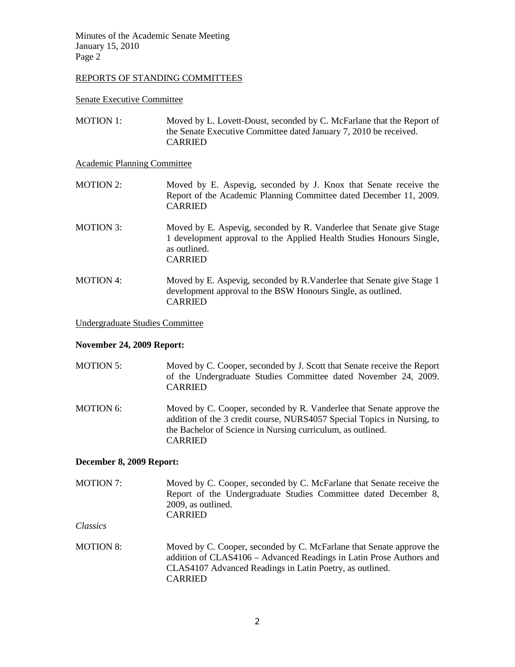# REPORTS OF STANDING COMMITTEES

Senate Executive Committee

MOTION 1: Moved by L. Lovett-Doust, seconded by C. McFarlane that the Report of the Senate Executive Committee dated January 7, 2010 be received. CARRIED

Academic Planning Committee

- MOTION 2: Moved by E. Aspevig, seconded by J. Knox that Senate receive the Report of the Academic Planning Committee dated December 11, 2009. CARRIED
- MOTION 3: Moved by E. Aspevig, seconded by R. Vanderlee that Senate give Stage 1 development approval to the Applied Health Studies Honours Single, as outlined. CARRIED
- MOTION 4: Moved by E. Aspevig, seconded by R.Vanderlee that Senate give Stage 1 development approval to the BSW Honours Single, as outlined. CARRIED

#### Undergraduate Studies Committee

### **November 24, 2009 Report:**

| <b>MOTION 5:</b> | Moved by C. Cooper, seconded by J. Scott that Senate receive the Report<br>of the Undergraduate Studies Committee dated November 24, 2009.<br><b>CARRIED</b>                                                                     |
|------------------|----------------------------------------------------------------------------------------------------------------------------------------------------------------------------------------------------------------------------------|
| MOTION 6:        | Moved by C. Cooper, seconded by R. Vanderlee that Senate approve the<br>addition of the 3 credit course, NURS4057 Special Topics in Nursing, to<br>the Bachelor of Science in Nursing curriculum, as outlined.<br><b>CARRIED</b> |

# **December 8, 2009 Report:**

MOTION 7: Moved by C. Cooper, seconded by C. McFarlane that Senate receive the Report of the Undergraduate Studies Committee dated December 8, 2009, as outlined. CARRIED

*Classics*

MOTION 8: Moved by C. Cooper, seconded by C. McFarlane that Senate approve the addition of CLAS4106 – Advanced Readings in Latin Prose Authors and CLAS4107 Advanced Readings in Latin Poetry, as outlined. CARRIED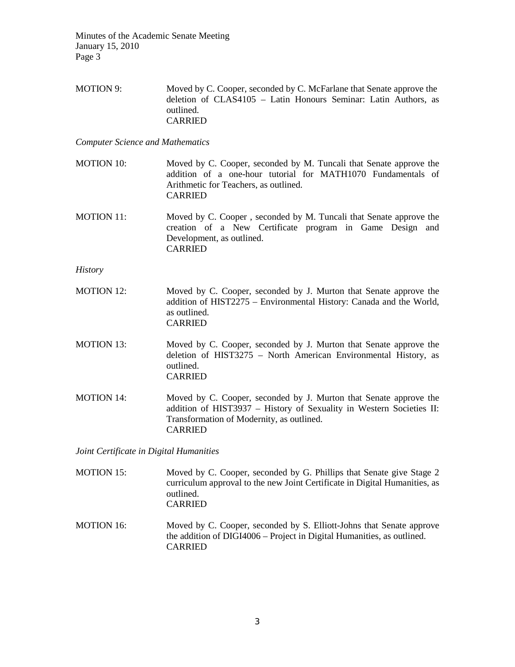MOTION 9: Moved by C. Cooper, seconded by C. McFarlane that Senate approve the deletion of CLAS4105 – Latin Honours Seminar: Latin Authors, as outlined. CARRIED

*Computer Science and Mathematics*

- MOTION 10: Moved by C. Cooper, seconded by M. Tuncali that Senate approve the addition of a one-hour tutorial for MATH1070 Fundamentals of Arithmetic for Teachers, as outlined. CARRIED
- MOTION 11: Moved by C. Cooper , seconded by M. Tuncali that Senate approve the creation of a New Certificate program in Game Design and Development, as outlined. CARRIED

*History*

- MOTION 12: Moved by C. Cooper, seconded by J. Murton that Senate approve the addition of HIST2275 – Environmental History: Canada and the World, as outlined. CARRIED
- MOTION 13: Moved by C. Cooper, seconded by J. Murton that Senate approve the deletion of HIST3275 – North American Environmental History, as outlined. CARRIED
- MOTION 14: Moved by C. Cooper, seconded by J. Murton that Senate approve the addition of HIST3937 – History of Sexuality in Western Societies II: Transformation of Modernity, as outlined. CARRIED

*Joint Certificate in Digital Humanities*

- MOTION 15: Moved by C. Cooper, seconded by G. Phillips that Senate give Stage 2 curriculum approval to the new Joint Certificate in Digital Humanities, as outlined. CARRIED
- MOTION 16: Moved by C. Cooper, seconded by S. Elliott-Johns that Senate approve the addition of DIGI4006 – Project in Digital Humanities, as outlined. CARRIED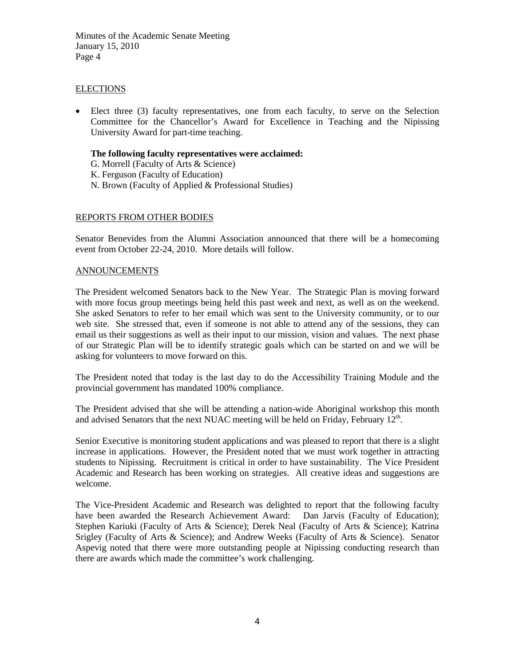# ELECTIONS

• Elect three (3) faculty representatives, one from each faculty, to serve on the Selection Committee for the Chancellor's Award for Excellence in Teaching and the Nipissing University Award for part-time teaching.

### **The following faculty representatives were acclaimed:**

- G. Morrell (Faculty of Arts & Science)
- K. Ferguson (Faculty of Education)
- N. Brown (Faculty of Applied & Professional Studies)

# REPORTS FROM OTHER BODIES

Senator Benevides from the Alumni Association announced that there will be a homecoming event from October 22-24, 2010. More details will follow.

### ANNOUNCEMENTS

The President welcomed Senators back to the New Year. The Strategic Plan is moving forward with more focus group meetings being held this past week and next, as well as on the weekend. She asked Senators to refer to her email which was sent to the University community, or to our web site. She stressed that, even if someone is not able to attend any of the sessions, they can email us their suggestions as well as their input to our mission, vision and values. The next phase of our Strategic Plan will be to identify strategic goals which can be started on and we will be asking for volunteers to move forward on this.

The President noted that today is the last day to do the Accessibility Training Module and the provincial government has mandated 100% compliance.

The President advised that she will be attending a nation-wide Aboriginal workshop this month and advised Senators that the next NUAC meeting will be held on Friday, February  $12<sup>th</sup>$ .

Senior Executive is monitoring student applications and was pleased to report that there is a slight increase in applications. However, the President noted that we must work together in attracting students to Nipissing. Recruitment is critical in order to have sustainability. The Vice President Academic and Research has been working on strategies. All creative ideas and suggestions are welcome.

The Vice-President Academic and Research was delighted to report that the following faculty have been awarded the Research Achievement Award: Dan Jarvis (Faculty of Education); Stephen Kariuki (Faculty of Arts & Science); Derek Neal (Faculty of Arts & Science); Katrina Srigley (Faculty of Arts & Science); and Andrew Weeks (Faculty of Arts & Science). Senator Aspevig noted that there were more outstanding people at Nipissing conducting research than there are awards which made the committee's work challenging.